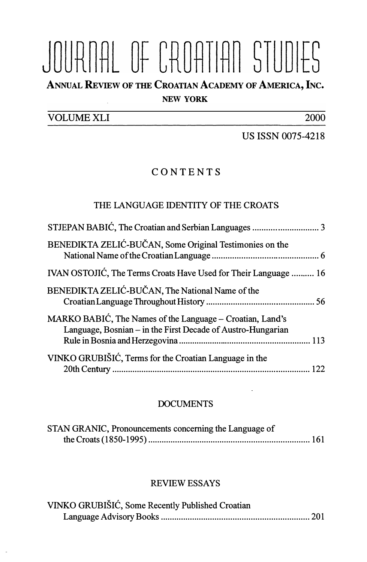# JOURNAL OF CROATIAN STUDIES

ANNUAL REVIEw oF THE CROATIAN AcADEMY oF AMERICA, INc.

#### NEW YORK

VOLUME XLI 2000

US ISSN 0075-4218

## CONTENTS

#### THE LANGUAGE IDENTITY OF THE CROATS

| BENEDIKTA ZELIĆ-BUČAN, Some Original Testimonies on the                                                                  |  |
|--------------------------------------------------------------------------------------------------------------------------|--|
| IVAN OSTOJIĆ, The Terms Croats Have Used for Their Language  16                                                          |  |
| BENEDIKTA ZELIĆ-BUČAN, The National Name of the                                                                          |  |
| MARKO BABIĆ, The Names of the Language – Croatian, Land's<br>Language, Bosnian – in the First Decade of Austro-Hungarian |  |
| VINKO GRUBIŠIĆ, Terms for the Croatian Language in the                                                                   |  |

#### DOCUMENTS

| STAN GRANIC, Pronouncements concerning the Language of |  |
|--------------------------------------------------------|--|
|                                                        |  |

#### **REVIEW ESSAYS**

| VINKO GRUBIŠIĆ, Some Recently Published Croatian |  |
|--------------------------------------------------|--|
|                                                  |  |